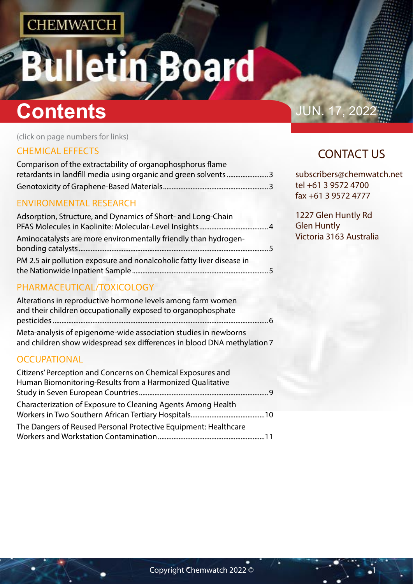# etin Board

# **Contents Contents JUN. 17, 202**

(click on page numbers for links)

## [CHEMICAL EFFECTS](#page-1-0)

| Comparison of the extractability of organophosphorus flame      |  |
|-----------------------------------------------------------------|--|
| retardants in landfill media using organic and green solvents 3 |  |
|                                                                 |  |
|                                                                 |  |

### [ENVIRONMENTAL RESEARCH](#page-1-0)

| Adsorption, Structure, and Dynamics of Short- and Long-Chain          |  |
|-----------------------------------------------------------------------|--|
| Aminocatalysts are more environmentally friendly than hydrogen-       |  |
| PM 2.5 air pollution exposure and nonalcoholic fatty liver disease in |  |

# [PHARMACEUTICAL/TOXICOLOGY](#page-2-0)

| Alterations in reproductive hormone levels among farm women             |
|-------------------------------------------------------------------------|
| and their children occupationally exposed to organophosphate            |
|                                                                         |
| Meta-analysis of epigenome-wide association studies in newborns         |
| and children show widespread sex differences in blood DNA methylation 7 |
|                                                                         |

## **[OCCUPATIONAL](#page-4-0)**

| Citizens' Perception and Concerns on Chemical Exposures and     |  |
|-----------------------------------------------------------------|--|
| Human Biomonitoring-Results from a Harmonized Qualitative       |  |
|                                                                 |  |
| Characterization of Exposure to Cleaning Agents Among Health    |  |
|                                                                 |  |
| The Dangers of Reused Personal Protective Equipment: Healthcare |  |
|                                                                 |  |

# CONTACT US

subscribers@chemwatch.net tel +61 3 9572 4700 fax +61 3 9572 4777

1227 Glen Huntly Rd Glen Huntly Victoria 3163 Australia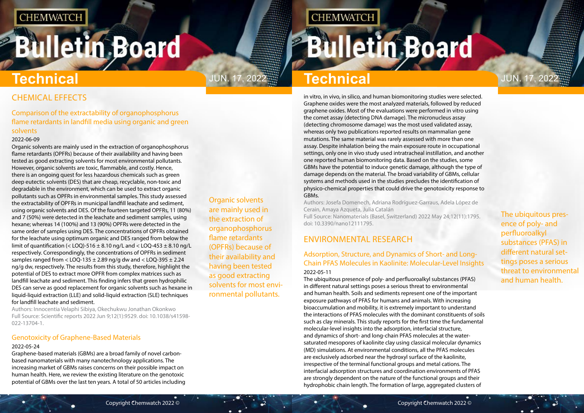# <span id="page-1-0"></span>**Bulletin Board**

Organic solvents are mainly used in the extraction of organophosphorus flame retardants (OPFRs) because of their availability and having been tested as good extracting solvents for most environmental pollutants.

# JUN. 17, 2022<sup>.</sup> Technical **Technical** JUN. 17, 2022

**CHEMWATCH** 

The ubiquitous presence of poly- and perfluoroalkyl substances (PFAS) in different natural settings poses a serious threat to environmental and human health.

# CHEMICAL EFFECTS

### Comparison of the extractability of organophosphorus flame retardants in landfill media using organic and green solvents

#### 2022-06-09

Organic solvents are mainly used in the extraction of organophosphorus flame retardants (OPFRs) because of their availability and having been tested as good extracting solvents for most environmental pollutants. However, organic solvents are toxic, flammable, and costly. Hence, there is an ongoing quest for less hazardous chemicals such as green deep eutectic solvents (DES) that are cheap, recyclable, non-toxic and degradable in the environment, which can be used to extract organic pollutants such as OPFRs in environmental samples. This study assessed the extractability of OPFRs in municipal landfill leachate and sediment, using organic solvents and DES. Of the fourteen targeted OPFRs, 11 (80%) and 7 (50%) were detected in the leachate and sediment samples, using hexane; whereas 14 (100%) and 13 (90%) OPFRs were detected in the same order of samples using DES. The concentrations of OPFRs obtained for the leachate using optimum organic and DES ranged from below the limit of quantification (< LOQ)-516  $\pm$  8.10 ng/L and < LOQ-453  $\pm$  8.10 ng/L respectively. Correspondingly, the concentrations of OPFRs in sediment samples ranged from  $<$  LOQ-135  $\pm$  2.89 ng/g dw and  $<$  LOQ-395  $\pm$  2.24 ng/g dw, respectively. The results from this study, therefore, highlight the potential of DES to extract more OPFR from complex matrices such as landfill leachate and sediment. This finding infers that green hydrophilic DES can serve as good replacement for organic solvents such as hexane in liquid-liquid extraction (LLE) and solid-liquid extraction (SLE) techniques for landfill leachate and sediment.

Authors: Innocentia Velaphi Sibiya, Okechukwu Jonathan Okonkwo Full Source: Scientific reports 2022 Jun 9;12(1):9529. doi: 10.1038/s41598- 022-13704-1.

### Genotoxicity of Graphene-Based Materials

### 2022-05-24

Graphene-based materials (GBMs) are a broad family of novel carbonbased nanomaterials with many nanotechnology applications. The increasing market of GBMs raises concerns on their possible impact on human health. Here, we review the existing literature on the genotoxic potential of GBMs over the last ten years. A total of 50 articles including

# **Technical**

in vitro, in vivo, in silico, and human biomonitoring studies were selected. Graphene oxides were the most analyzed materials, followed by reduced graphene oxides. Most of the evaluations were performed in vitro using the comet assay (detecting DNA damage). The micronucleus assay (detecting chromosome damage) was the most used validated assay, whereas only two publications reported results on mammalian gene mutations. The same material was rarely assessed with more than one assay. Despite inhalation being the main exposure route in occupational settings, only one in vivo study used intratracheal instillation, and another one reported human biomonitoring data. Based on the studies, some GBMs have the potential to induce genetic damage, although the type of damage depends on the material. The broad variability of GBMs, cellular systems and methods used in the studies precludes the identification of physico-chemical properties that could drive the genotoxicity response to GBMs.

Authors: Josefa Domenech, Adriana Rodríguez-Garraus, Adela López de Cerain, Amaya Azqueta, Julia Catalán Full Source: Nanomaterials (Basel, Switzerland) 2022 May 24;12(11):1795. doi: 10.3390/nano12111795.

# ENVIRONMENTAL RESEARCH

### Adsorption, Structure, and Dynamics of Short- and Long-Chain PFAS Molecules in Kaolinite: Molecular-Level Insights 2022-05-11

The ubiquitous presence of poly- and perfluoroalkyl substances (PFAS) in different natural settings poses a serious threat to environmental and human health. Soils and sediments represent one of the important exposure pathways of PFAS for humans and animals. With increasing bioaccumulation and mobility, it is extremely important to understand the interactions of PFAS molecules with the dominant constituents of soils such as clay minerals. This study reports for the first time the fundamental molecular-level insights into the adsorption, interfacial structure, and dynamics of short- and long-chain PFAS molecules at the watersaturated mesopores of kaolinite clay using classical molecular dynamics (MD) simulations. At environmental conditions, all the PFAS molecules are exclusively adsorbed near the hydroxyl surface of the kaolinite, irrespective of the terminal functional groups and metal cations. The interfacial adsorption structures and coordination environments of PFAS are strongly dependent on the nature of the functional groups and their hydrophobic chain length. The formation of large, aggregated clusters of

# **Bulletin Board**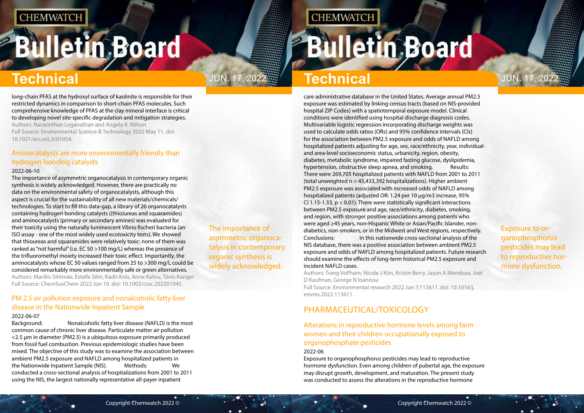# <span id="page-2-0"></span>**Bulletin Board**

The importance of asymmetric organocatalysis in contemporary organic synthesis is widely acknowledged.

# JUN. 17, 2022 $\frac{m}{2}$  Technical

**CHEMWATCH** 

Exposure to organophosphorus pesticides may lead to reproductive hormone dysfunction.

# **Technical Technical**

long-chain PFAS at the hydroxyl surface of kaolinite is responsible for their restricted dynamics in comparison to short-chain PFAS molecules. Such comprehensive knowledge of PFAS at the clay mineral interface is critical to developing novel site-specific degradation and mitigation strategies. Authors: Narasimhan Loganathan and Angela K. Wilson Full Source: Environmental Science & Technology 2022 May 11. doi: 10.1021/acs.est.2c01054.

### Aminocatalysts are more environmentally friendly than hydrogen-bonding catalysts

#### 2022-06-10

The importance of asymmetric organocatalysis in contemporary organic synthesis is widely acknowledged. However, there are practically no data on the environmental safety of organocatalysts, although this aspect is crucial for the sustainability of all new materials/chemicals/ technologies. To start to fill this data-gap, a library of 26 organocatalysts containing hydrogen bonding catalysts ((thio)ureas and squaramides) and aminocatalysts (primary or secondary amines) was evaluated for their toxicity using the naturally luminescent Vibrio fischeri bacteria (an ISO assay - one of the most widely used ecotoxicity tests). We showed that thioureas and squaramides were relatively toxic: none of them was ranked as "not harmful" (i.e. EC 50 >100 mg/L) whereas the presence of the trifluoromethyl moiety increased their toxic effect. Importantly, the aminocatalysts whose EC 50 values ranged from 25 to >300 mg/L could be considered remarkably more environmentally safe or green alternatives. Authors: Mariliis Sihtmäe, Estelle Silm, Kadri Kriis, Anne Kahru, Tõnis Kanger Full Source: ChemSusChem 2022 Jun 10. doi: 10.1002/cssc.202201045.

## PM 2.5 air pollution exposure and nonalcoholic fatty liver disease in the Nationwide Inpatient Sample

#### 2022-06-07

Background: Nonalcoholic fatty liver disease (NAFLD) is the most common cause of chronic liver disease. Particulate matter air pollution <2.5 μm in diameter (PM2.5) is a ubiquitous exposure primarily produced from fossil fuel combustion. Previous epidemiologic studies have been mixed. The objective of this study was to examine the association between ambient PM2.5 exposure and NAFLD among hospitalized patients in the Nationwide Inpatient Sample (NIS). Methods: We conducted a cross-sectional analysis of hospitalizations from 2001 to 2011 using the NIS, the largest nationally representative all-payer inpatient

care administrative database in the United States. Average annual PM2.5 exposure was estimated by linking census tracts (based on NIS-provided hospital ZIP Codes) with a spatiotemporal exposure model. Clinical conditions were identified using hospital discharge diagnosis codes. Multivariable logistic regression incorporating discharge weights was used to calculate odds ratios (ORs) and 95% confidence intervals (CIs) for the association between PM2.5 exposure and odds of NAFLD among hospitalized patients adjusting for age, sex, race/ethnicity, year, individualand area-level socioeconomic status, urbanicity, region, obesity, diabetes, metabolic syndrome, impaired fasting glucose, dyslipidemia, hypertension, obstructive sleep apnea, and smoking. Results: There were 269,705 hospitalized patients with NAFLD from 2001 to 2011 (total unweighted  $n = 45,433,392$  hospitalizations). Higher ambient PM2.5 exposure was associated with increased odds of NAFLD among hospitalized patients (adjusted OR: 1.24 per 10 μg/m3 increase, 95% CI 1.15-1.33, p < 0.01). There were statistically significant interactions between PM2.5 exposure and age, race/ethnicity, diabetes, smoking, and region, with stronger positive associations among patients who were aged ≥45 years, non-Hispanic White or Asian/Pacific Islander, nondiabetics, non-smokers, or in the Midwest and West regions, respectively. Conclusions: In this nationwide cross-sectional analysis of the NIS database, there was a positive association between ambient PM2.5 exposure and odds of NAFLD among hospitalized patients. Future research should examine the effects of long-term historical PM2.5 exposure and

incident NAFLD cases.

Authors: Trang VoPham, Nicole J Kim, Kristin Berry, Jason A Mendoza, Joel D Kaufman, George N Ioannou Full Source: Environmental research 2022 Jun 7;113611. doi: 10.1016/j.

envres.2022.113611.

# PHARMACEUTICAL/TOXICOLOGY

Alterations in reproductive hormone levels among farm women and their children occupationally exposed to organophosphate pesticides

#### 2022-06

Exposure to organophosphorus pesticides may lead to reproductive hormone dysfunction. Even among children of pubertal age, the exposure may disrupt growth, development, and maturation. The present study was conducted to assess the alterations in the reproductive hormone

# **Bulletin Board**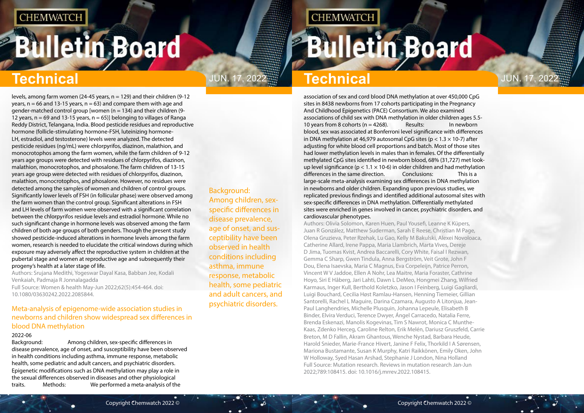# <span id="page-3-0"></span>**Bulletin Board**

# Jun. 17, 2022 Jun. 17, 2022

Background: Among children, sexspecific differences in disease prevalence, age of onset, and susceptibility have been observed in health conditions including asthma, immune response, metabolic health, some pediatric and adult cancers, and psychiatric disorders.

# **CHEMWATCH**

# **Bulletin Board**

# **Technical Technical**

levels, among farm women (24-45 years, n = 129) and their children (9-12 years,  $n = 66$  and 13-15 years,  $n = 63$ ) and compare them with age and gender-matched control group [women (n = 134) and their children (9- 12 years,  $n = 69$  and 13-15 years,  $n = 65$ )] belonging to villages of Ranga Reddy District, Telangana, India. Blood pesticide residues and reproductive hormone (follicle-stimulating hormone-FSH, luteinizing hormone-LH, estradiol, and testosterone) levels were analyzed. The detected pesticide residues (ng/mL) were chlorpyrifos, diazinon, malathion, and monocrotophos among the farm women, while the farm children of 9-12 years age groups were detected with residues of chlorpyrifos, diazinon, malathion, monocrotophos, and phosalone. The farm children of 13-15 years age group were detected with residues of chlorpyrifos, diazinon, malathion, monocrotophos, and phosalone. However, no residues were detected among the samples of women and children of control groups. Significantly lower levels of FSH (in follicular phase) were observed among the farm women than the control group. Significant alterations in FSH and LH levels of farm women were observed with a significant correlation between the chlorpyrifos residue levels and estradiol hormone. While no such significant change in hormone levels was observed among the farm children of both age groups of both genders. Though the present study showed pesticide-induced alterations in hormone levels among the farm women, research is needed to elucidate the critical windows during which exposure may adversely affect the reproductive system in children at the pubertal stage and women at reproductive age and subsequently their progeny's health at a later stage of life.

Authors: Srujana Medithi, Yogeswar Dayal Kasa, Babban Jee, Kodali Venkaiah, Padmaja R Jonnalagadda

Full Source: Women & health May-Jun 2022;62(5):454-464. doi: 10.1080/03630242.2022.2085844.

### Meta-analysis of epigenome-wide association studies in newborns and children show widespread sex differences in blood DNA methylation

### 2022-06

Background: Among children, sex-specific differences in disease prevalence, age of onset, and susceptibility have been observed in health conditions including asthma, immune response, metabolic health, some pediatric and adult cancers, and psychiatric disorders. Epigenetic modifications such as DNA methylation may play a role in the sexual differences observed in diseases and other physiological traits. Methods: We performed a meta-analysis of the

association of sex and cord blood DNA methylation at over 450,000 CpG sites in 8438 newborns from 17 cohorts participating in the Pregnancy And Childhood Epigenetics (PACE) Consortium. We also examined associations of child sex with DNA methylation in older children ages 5.5- 10 years from 8 cohorts ( $n = 4268$ ). Results: In newborn blood, sex was associated at Bonferroni level significance with differences in DNA methylation at 46,979 autosomal CpG sites ( $p < 1.3 \times 10$ -7) after adjusting for white blood cell proportions and batch. Most of those sites had lower methylation levels in males than in females. Of the differentially methylated CpG sites identified in newborn blood, 68% (31,727) met lookup level significance ( $p < 1.1 \times 10$ -6) in older children and had methylation differences in the same direction. Conclusions: This is a large-scale meta-analysis examining sex differences in DNA methylation in newborns and older children. Expanding upon previous studies, we replicated previous findings and identified additional autosomal sites with sex-specific differences in DNA methylation. Differentially methylated sites were enriched in genes involved in cancer, psychiatric disorders, and cardiovascular phenotypes.

Authors: Olivia Solomon, Karen Huen, Paul Yousefi, Leanne K Küpers, Juan R González, Matthew Suderman, Sarah E Reese, Christian M Page, Olena Gruzieva, Peter Rzehak, Lu Gao, Kelly M Bakulski, Alexei Novoloaca, Catherine Allard, Irene Pappa, Maria Llambrich, Marta Vives, Dereje D Jima, Tuomas Kvist, Andrea Baccarelli, Cory White, Faisal I Rezwan, Gemma C Sharp, Gwen Tindula, Anna Bergström, Veit Grote, John F Dou, Elena Isaevska, Maria C Magnus, Eva Corpeleijn, Patrice Perron, Vincent W V Jaddoe, Ellen A Nohr, Lea Maitre, Maria Foraster, Cathrine Hoyo, Siri E Håberg, Jari Lahti, Dawn L DeMeo, Hongmei Zhang, Wilfried Karmaus, Inger Kull, Berthold Koletzko, Jason I Feinberg, Luigi Gagliardi, Luigi Bouchard, Cecilia Høst Ramlau-Hansen, Henning Tiemeier, Gillian Santorelli, Rachel L Maguire, Darina Czamara, Augusto A Litonjua, Jean-Paul Langhendries, Michelle Plusquin, Johanna Lepeule, Elisabeth B Binder, Elvira Verduci, Terence Dwyer, Ángel Carracedo, Natalia Ferre, Brenda Eskenazi, Manolis Kogevinas, Tim S Nawrot, Monica C Munthe-Kaas, Zdenko Herceg, Caroline Relton, Erik Melén, Dariusz Gruszfeld, Carrie Breton, M D Fallin, Akram Ghantous, Wenche Nystad, Barbara Heude, Harold Snieder, Marie-France Hivert, Janine F Felix, Thorkild I A Sørensen, Mariona Bustamante, Susan K Murphy, Katri Raikkönen, Emily Oken, John W Holloway, Syed Hasan Arshad, Stephanie J London, Nina Holland Full Source: Mutation research. Reviews in mutation research Jan-Jun 2022;789:108415. doi: 10.1016/j.mrrev.2022.108415.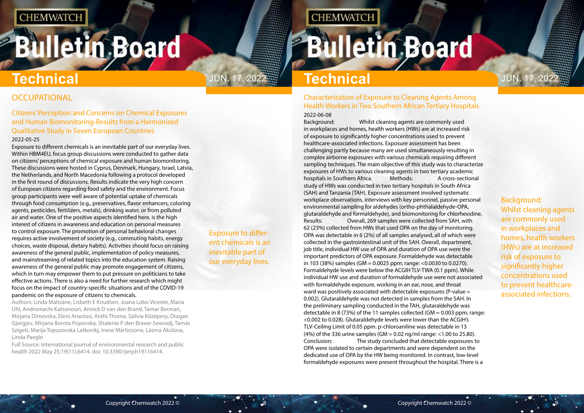# <span id="page-4-0"></span>**Bulletin Board**

**Technical JUN. 17, 2022 Technical Technical JUN. 17, 2022** 

# **OCCUPATIONAL**

Exposure to different chemicals is an inevitable part of our everyday lives.

**CHEMWATCH** 

Background: Whilst cleaning agents are commonly used in workplaces and homes, health workers (HWs) are at increased risk of exposure to significantly higher concentrations used to prevent healthcareassociated infections.

## Citizens' Perception and Concerns on Chemical Exposures and Human Biomonitoring-Results from a Harmonized Qualitative Study in Seven European Countries

### 2022-05-25

Exposure to different chemicals is an inevitable part of our everyday lives. Within HBM4EU, focus group discussions were conducted to gather data on citizens' perceptions of chemical exposure and human biomonitoring. These discussions were hosted in Cyprus, Denmark, Hungary, Israel, Latvia, the Netherlands, and North Macedonia following a protocol developed in the first round of discussions. Results indicate the very high concern of European citizens regarding food safety and the environment. Focus group participants were well aware of potential uptake of chemicals through food consumption (e.g., preservatives, flavor enhancers, coloring agents, pesticides, fertilizers, metals), drinking water, or from polluted air and water. One of the positive aspects identified here, is the high interest of citizens in awareness and education on personal measures to control exposure. The promotion of personal behavioral changes requires active involvement of society (e.g., commuting habits, energy choices, waste disposal, dietary habits). Activities should focus on raising awareness of the general public, implementation of policy measures, and mainstreaming of related topics into the education system. Raising awareness of the general public may promote engagement of citizens, which in turn may empower them to put pressure on politicians to take effective actions. There is also a need for further research which might focus on the impact of country-specific situations and of the COVID-19 pandemic on the exposure of citizens to chemicals.

Authors: Linda Matisāne, Lisbeth E Knudsen, Joana Lobo Vicente, Maria Uhl, Andromachi Katsonouri, Annick D van den Brand, Tamar Berman, Mirjana Dimovska, Eleni Anastasi, Anthi Thoma, Szilvia Középesy, Dragan Gjorgjev, Mirjana Borota Popovska, Shalenie P den Braver-Sewradj, Tamás Szigeti, Marija Topuzovska Latkovikj, Inese Mārtiņsone, Lāsma Akūlova, Linda Paegle

Full Source: International journal of environmental research and public health 2022 May 25;19(11):6414. doi: 10.3390/ijerph19116414.

### Characterization of Exposure to Cleaning Agents Among Health Workers in Two Southern African Tertiary Hospitals 2022-06-08

Background: Whilst cleaning agents are commonly used in workplaces and homes, health workers (HWs) are at increased risk of exposure to significantly higher concentrations used to prevent healthcare-associated infections. Exposure assessment has been challenging partly because many are used simultaneously resulting in complex airborne exposures with various chemicals requiring different sampling techniques. The main objective of this study was to characterize exposures of HWs to various cleaning agents in two tertiary academic hospitals in Southern Africa. Methods: A cross-sectional study of HWs was conducted in two tertiary hospitals in South Africa (SAH) and Tanzania (TAH). Exposure assessment involved systematic workplace observations, interviews with key personnel, passive personal environmental sampling for aldehydes (ortho-phthalaldehyde-OPA, glutaraldehyde and formaldehyde), and biomonitoring for chlorhexidine. Results: Overall, 269 samples were collected from SAH, with 62 (23%) collected from HWs that used OPA on the day of monitoring. OPA was detectable in 6 (2%) of all samples analysed, all of which were collected in the gastrointestinal unit of the SAH. Overall, department, job title, individual HW use of OPA and duration of OPA use were the important predictors of OPA exposure. Formaldehyde was detectable in 103 (38%) samples (GM = 0.0025 ppm; range: <0.0030 to 0.0270). Formaldehyde levels were below the ACGIH TLV-TWA (0.1 ppm). While individual HW use and duration of formaldehyde use were not associated with formaldehyde exposure, working in an ear, nose, and throat ward was positively associated with detectable exposures (P-value = 0.002). Glutaraldehyde was not detected in samples from the SAH. In the preliminary sampling conducted in the TAH, glutaraldehyde was detectable in 8 (73%) of the 11 samples collected (GM =  $0.003$  ppm; range: <0.002 to 0.028). Glutaraldehyde levels were lower than the ACGIH's TLV-Ceiling Limit of 0.05 ppm. p-chloroaniline was detectable in 13 (4%) of the 336 urine samples (GM =  $0.02$  ng/ml range: <1.00 to 25.80). Conclusion: The study concluded that detectable exposures to OPA were isolated to certain departments and were dependent on the dedicated use of OPA by the HW being monitored. In contrast, low-level formaldehyde exposures were present throughout the hospital. There is a

# **Bulletin Board**